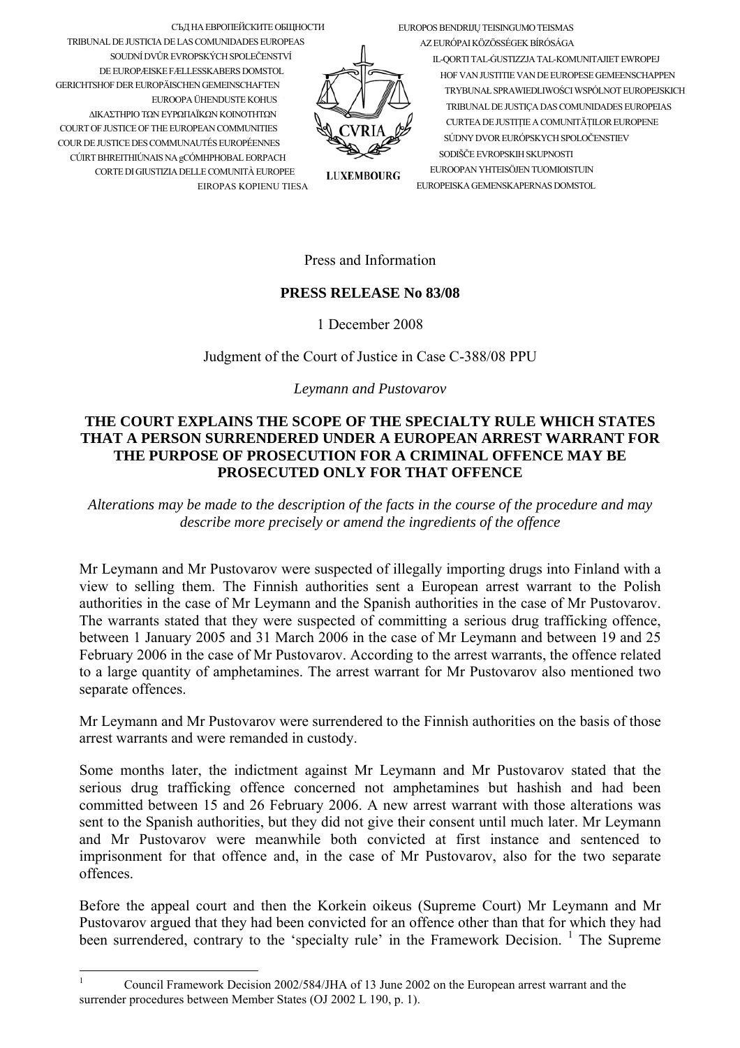EUROPOS BENDRIJU TEISINGUMO TEISMAS

СЪД НА ЕВРОПЕЙСКИТЕ ОБЩНОСТИ TRIBUNAL DE JUSTICIA DE LAS COMUNIDADES EUROPEAS SOUDNÍ DVŮR EVROPSKÝCH SPOLEČENSTVÍ DE EUROPÆISKE FÆLLESSKABERS DOMSTOL **GERICHTSHOF DER ELIROPÄISCHEN GEMEINSCHAFTEN** ELIROOPA ÜHENDLISTE KOHLIS ΔΙΚΑΣΤΗΡΙΟ ΤΩΝ ΕΥΡΩΠΑΪΚΩΝ ΚΟΙΝΟΤΗΤΩΝ COURT OF JUSTICE OF THE EUROPEAN COMMUNITIES COUR DE JUSTICE DES COMMUNAUTÉS EUROPÉENNES CÚIRT BHREITHIÚNAIS NA gCÓMHPHOBAL EORPACH CORTE DI GIUSTIZIA DELLE COMUNITÀ EUROPEE EIROPAS KOPIENU TIESA

AZ EURÓPAI KÖZÖSSÉGEK BÍRÓSÁGA IL-QORTI TAL-GUSTIZZJA TAL-KOMUNITAJIET EWROPEJ HOF VAN JUSTITIE VAN DE EUROPESE GEMEENSCHAPPEN TRYBUNAŁ SPRAWIEDLIWOŚCI WSPÓLNOT EUROPEJSKICH TRIBI INAL DE ILISTICA DAS COMUNIDADES ELIROPEIAS CURTEA DE JUSTITIE A COMUNITĂTILOR EUROPENE SÚDNY DVOR ELIRÓPSKYCH SPOLOČENSTIEV SODIŠČE EVROPSKIH SKUPNOSTI EUROOPAN YHTEISÖJEN TUOMIOISTUIN EUROPEISKA GEMENSKAPERNAS DOMSTOL

**LUXEMBOURG** 

Press and Information

## **PRESS RELEASE No 83/08**

1 December 2008

Judgment of the Court of Justice in Case C-388/08 PPU

Leymann and Pustovarov

## THE COURT EXPLAINS THE SCOPE OF THE SPECIALTY RULE WHICH STATES THAT A PERSON SURRENDERED UNDER A EUROPEAN ARREST WARRANT FOR THE PURPOSE OF PROSECUTION FOR A CRIMINAL OFFENCE MAY BE PROSECUTED ONLY FOR THAT OFFENCE

Alterations may be made to the description of the facts in the course of the procedure and may describe more precisely or amend the ingredients of the offence

Mr Leymann and Mr Pustovarov were suspected of illegally importing drugs into Finland with a view to selling them. The Finnish authorities sent a European arrest warrant to the Polish authorities in the case of Mr Leymann and the Spanish authorities in the case of Mr Pustovarov. The warrants stated that they were suspected of committing a serious drug trafficking offence. between 1 January 2005 and 31 March 2006 in the case of Mr Leymann and between 19 and 25 February 2006 in the case of Mr Pustovarov. According to the arrest warrants, the offence related to a large quantity of amphetamines. The arrest warrant for Mr Pustovarov also mentioned two separate offences.

Mr Leymann and Mr Pustovarov were surrendered to the Finnish authorities on the basis of those arrest warrants and were remanded in custody.

Some months later, the indictment against Mr Leymann and Mr Pustovarov stated that the serious drug trafficking offence concerned not amphetamines but hashish and had been committed between 15 and 26 February 2006. A new arrest warrant with those alterations was sent to the Spanish authorities, but they did not give their consent until much later. Mr Leymann and Mr Pustovarov were meanwhile both convicted at first instance and sentenced to imprisonment for that offence and, in the case of Mr Pustovarov, also for the two separate offences

Before the appeal court and then the Korkein oikeus (Supreme Court) Mr Leymann and Mr Pustovarov argued that they had been convicted for an offence other than that for which they had been surrendered, contrary to the 'specialty rule' in the Framework Decision.<sup>1</sup> The Supreme

<span id="page-0-0"></span> $\mathbf{1}$ Council Framework Decision 2002/584/JHA of 13 June 2002 on the European arrest warrant and the surrender procedures between Member States (OJ 2002 L 190, p. 1).